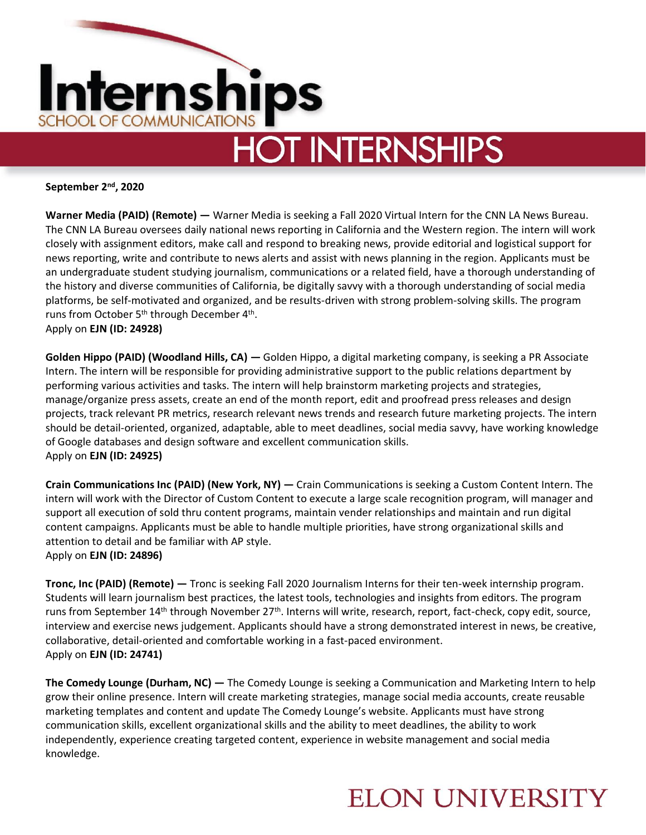

# **HOT INTERNSHIPS**

**September 2nd, 2020**

**Warner Media (PAID) (Remote) —** Warner Media is seeking a Fall 2020 Virtual Intern for the CNN LA News Bureau. The CNN LA Bureau oversees daily national news reporting in California and the Western region. The intern will work closely with assignment editors, make call and respond to breaking news, provide editorial and logistical support for news reporting, write and contribute to news alerts and assist with news planning in the region. Applicants must be an undergraduate student studying journalism, communications or a related field, have a thorough understanding of the history and diverse communities of California, be digitally savvy with a thorough understanding of social media platforms, be self-motivated and organized, and be results-driven with strong problem-solving skills. The program runs from October 5<sup>th</sup> through December 4<sup>th</sup>. Apply on **EJN (ID: 24928)** 

**Golden Hippo (PAID) (Woodland Hills, CA) —** Golden Hippo, a digital marketing company, is seeking a PR Associate Intern. The intern will be responsible for providing administrative support to the public relations department by performing various activities and tasks. The intern will help brainstorm marketing projects and strategies, manage/organize press assets, create an end of the month report, edit and proofread press releases and design projects, track relevant PR metrics, research relevant news trends and research future marketing projects. The intern should be detail-oriented, organized, adaptable, able to meet deadlines, social media savvy, have working knowledge of Google databases and design software and excellent communication skills.

Apply on **EJN (ID: 24925)**

**Crain Communications Inc (PAID) (New York, NY) —** Crain Communications is seeking a Custom Content Intern. The intern will work with the Director of Custom Content to execute a large scale recognition program, will manager and support all execution of sold thru content programs, maintain vender relationships and maintain and run digital content campaigns. Applicants must be able to handle multiple priorities, have strong organizational skills and attention to detail and be familiar with AP style. Apply on **EJN (ID: 24896)** 

**Tronc, Inc (PAID) (Remote) —** Tronc is seeking Fall 2020 Journalism Interns for their ten-week internship program. Students will learn journalism best practices, the latest tools, technologies and insights from editors. The program runs from September 14<sup>th</sup> through November 27<sup>th</sup>. Interns will write, research, report, fact-check, copy edit, source, interview and exercise news judgement. Applicants should have a strong demonstrated interest in news, be creative, collaborative, detail-oriented and comfortable working in a fast-paced environment. Apply on **EJN (ID: 24741)**

**The Comedy Lounge (Durham, NC) —** The Comedy Lounge is seeking a Communication and Marketing Intern to help grow their online presence. Intern will create marketing strategies, manage social media accounts, create reusable marketing templates and content and update The Comedy Lounge's website. Applicants must have strong communication skills, excellent organizational skills and the ability to meet deadlines, the ability to work independently, experience creating targeted content, experience in website management and social media knowledge.

## **ELON UNIVERSITY**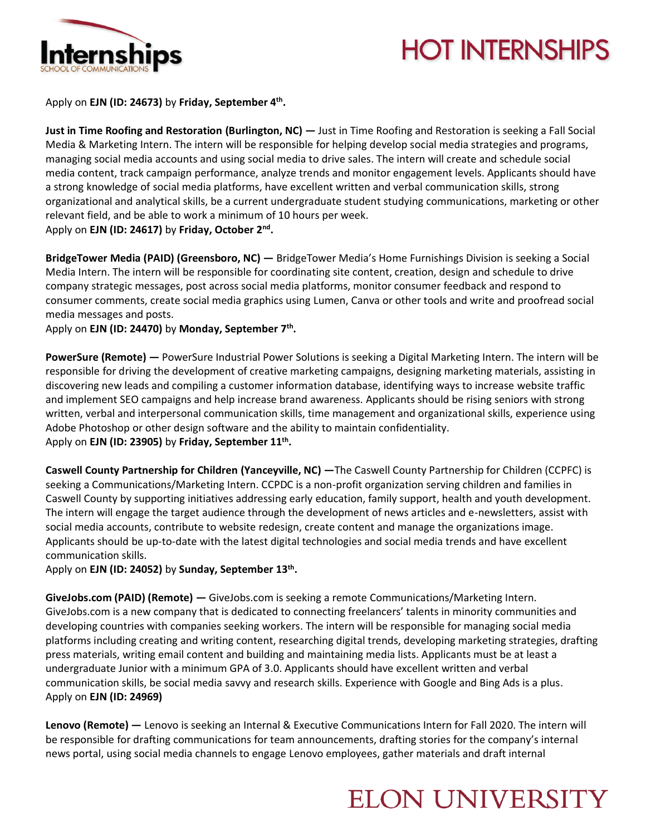

# **HOT INTERNSHIPS**

Apply on **EJN (ID: 24673)** by **Friday, September 4th .**

**Just in Time Roofing and Restoration (Burlington, NC) —** Just in Time Roofing and Restoration is seeking a Fall Social Media & Marketing Intern. The intern will be responsible for helping develop social media strategies and programs, managing social media accounts and using social media to drive sales. The intern will create and schedule social media content, track campaign performance, analyze trends and monitor engagement levels. Applicants should have a strong knowledge of social media platforms, have excellent written and verbal communication skills, strong organizational and analytical skills, be a current undergraduate student studying communications, marketing or other relevant field, and be able to work a minimum of 10 hours per week. Apply on **EJN (ID: 24617)** by **Friday, October 2nd .**

**BridgeTower Media (PAID) (Greensboro, NC) —** BridgeTower Media's Home Furnishings Division is seeking a Social Media Intern. The intern will be responsible for coordinating site content, creation, design and schedule to drive company strategic messages, post across social media platforms, monitor consumer feedback and respond to consumer comments, create social media graphics using Lumen, Canva or other tools and write and proofread social media messages and posts.

Apply on **EJN (ID: 24470)** by **Monday, September 7th .**

**PowerSure (Remote) —** PowerSure Industrial Power Solutions is seeking a Digital Marketing Intern. The intern will be responsible for driving the development of creative marketing campaigns, designing marketing materials, assisting in discovering new leads and compiling a customer information database, identifying ways to increase website traffic and implement SEO campaigns and help increase brand awareness. Applicants should be rising seniors with strong written, verbal and interpersonal communication skills, time management and organizational skills, experience using Adobe Photoshop or other design software and the ability to maintain confidentiality. Apply on **EJN (ID: 23905)** by **Friday, September 11th .**

**Caswell County Partnership for Children (Yanceyville, NC) —**The Caswell County Partnership for Children (CCPFC) is seeking a Communications/Marketing Intern. CCPDC is a non-profit organization serving children and families in Caswell County by supporting initiatives addressing early education, family support, health and youth development. The intern will engage the target audience through the development of news articles and e-newsletters, assist with social media accounts, contribute to website redesign, create content and manage the organizations image. Applicants should be up-to-date with the latest digital technologies and social media trends and have excellent communication skills.

Apply on **EJN (ID: 24052)** by **Sunday, September 13th .**

**GiveJobs.com (PAID) (Remote) —** GiveJobs.com is seeking a remote Communications/Marketing Intern. GiveJobs.com is a new company that is dedicated to connecting freelancers' talents in minority communities and developing countries with companies seeking workers. The intern will be responsible for managing social media platforms including creating and writing content, researching digital trends, developing marketing strategies, drafting press materials, writing email content and building and maintaining media lists. Applicants must be at least a undergraduate Junior with a minimum GPA of 3.0. Applicants should have excellent written and verbal communication skills, be social media savvy and research skills. Experience with Google and Bing Ads is a plus. Apply on **EJN (ID: 24969)** 

**Lenovo (Remote) —** Lenovo is seeking an Internal & Executive Communications Intern for Fall 2020. The intern will be responsible for drafting communications for team announcements, drafting stories for the company's internal news portal, using social media channels to engage Lenovo employees, gather materials and draft internal

#### **ELON UNIVERSITY**